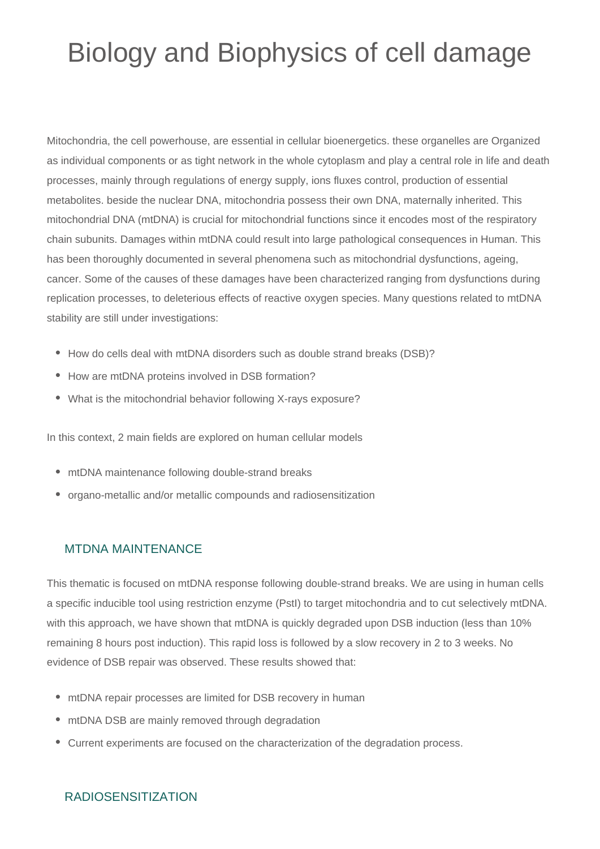## Biology and Biophysics of cell damage

Mitochondria, the cell powerhouse, are essential in cellular bioenergetics. these organelles are Organized as individual components or as tight network in the whole cytoplasm and play a central role in life and death processes, mainly through regulations of energy supply, ions fluxes control, production of essential metabolites. beside the nuclear DNA, mitochondria possess their own DNA, maternally inherited. This mitochondrial DNA (mtDNA) is crucial for mitochondrial functions since it encodes most of the respiratory chain subunits. Damages within mtDNA could result into large pathological consequences in Human. This has been thoroughly documented in several phenomena such as mitochondrial dysfunctions, ageing, cancer. Some of the causes of these damages have been characterized ranging from dysfunctions during replication processes, to deleterious effects of reactive oxygen species. Many questions related to mtDNA stability are still under investigations:

- How do cells deal with mtDNA disorders such as double strand breaks (DSB)?
- How are mtDNA proteins involved in DSB formation?
- What is the mitochondrial behavior following X-rays exposure?

In this context, 2 main fields are explored on human cellular models

- mtDNA maintenance following double-strand breaks
- organo-metallic and/or metallic compounds and radiosensitization

## MTDNA MAINTENANCE

This thematic is focused on mtDNA response following double-strand breaks. We are using in human cells a specific inducible tool using restriction enzyme (PstI) to target mitochondria and to cut selectively mtDNA. with this approach, we have shown that mtDNA is quickly degraded upon DSB induction (less than 10% remaining 8 hours post induction). This rapid loss is followed by a slow recovery in 2 to 3 weeks. No evidence of DSB repair was observed. These results showed that:

- mtDNA repair processes are limited for DSB recovery in human
- mtDNA DSB are mainly removed through degradation
- Current experiments are focused on the characterization of the degradation process.